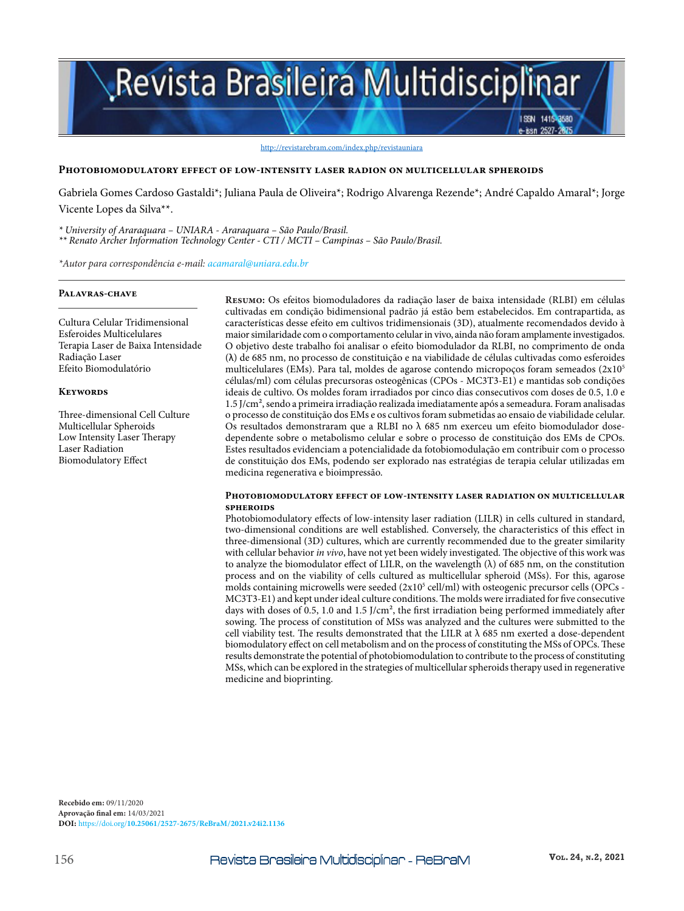# Revista Brasileira Multidisciplinar

#### http://revistarebram.com/index.php/revistauniara

#### **Photobiomodulatory effect of low-intensity laser radion on multicellular spheroids**

Gabriela Gomes Cardoso Gastaldi\*; Juliana Paula de Oliveira\*; Rodrigo Alvarenga Rezende\*; André Capaldo Amaral\*; Jorge Vicente Lopes da Silva\*\*.

*\* University of Araraquara – UNIARA - Araraquara – São Paulo/Brasil. \*\* Renato Archer Information Technology Center - CTI / MCTI – Campinas – São Paulo/Brasil.*

*\*Autor para correspondência e-mail: acamaral@uniara.edu.br*

#### **Palavras-chave**

Cultura Celular Tridimensional Esferoides Multicelulares Terapia Laser de Baixa Intensidade Radiação Laser Efeito Biomodulatório

#### **Keywords**

Three-dimensional Cell Culture Multicellular Spheroids Low Intensity Laser Therapy Laser Radiation Biomodulatory Effect

**Resumo:** Os efeitos biomoduladores da radiação laser de baixa intensidade (RLBI) em células cultivadas em condição bidimensional padrão já estão bem estabelecidos. Em contrapartida, as características desse efeito em cultivos tridimensionais (3D), atualmente recomendados devido à maior similaridade com o comportamento celular in vivo, ainda não foram amplamente investigados. O objetivo deste trabalho foi analisar o efeito biomodulador da RLBI, no comprimento de onda (λ) de 685 nm, no processo de constituição e na viabilidade de células cultivadas como esferoides multicelulares (EMs). Para tal, moldes de agarose contendo micropoços foram semeados ( $2x10<sup>5</sup>$ células/ml) com células precursoras osteogênicas (CPOs - MC3T3-E1) e mantidas sob condições ideais de cultivo. Os moldes foram irradiados por cinco dias consecutivos com doses de 0.5, 1.0 e 1.5 J/cm², sendo a primeira irradiação realizada imediatamente após a semeadura. Foram analisadas o processo de constituição dos EMs e os cultivos foram submetidas ao ensaio de viabilidade celular. Os resultados demonstraram que a RLBI no  $\lambda$  685 nm exerceu um efeito biomodulador dosedependente sobre o metabolismo celular e sobre o processo de constituição dos EMs de CPOs. Estes resultados evidenciam a potencialidade da fotobiomodulação em contribuir com o processo de constituição dos EMs, podendo ser explorado nas estratégias de terapia celular utilizadas em medicina regenerativa e bioimpressão.

ISSN 1415-8580 -issn 2527-28

#### **Photobiomodulatory effect of low-intensity laser radiation on multicellular spheroids**

Photobiomodulatory effects of low-intensity laser radiation (LILR) in cells cultured in standard, two-dimensional conditions are well established. Conversely, the characteristics of this effect in three-dimensional (3D) cultures, which are currently recommended due to the greater similarity with cellular behavior *in vivo*, have not yet been widely investigated. The objective of this work was to analyze the biomodulator effect of LILR, on the wavelength  $(\lambda)$  of 685 nm, on the constitution process and on the viability of cells cultured as multicellular spheroid (MSs). For this, agarose molds containing microwells were seeded (2x10<sup>5</sup> cell/ml) with osteogenic precursor cells (OPCs -MC3T3-E1) and kept under ideal culture conditions. The molds were irradiated for five consecutive days with doses of 0.5, 1.0 and 1.5  $1$ /cm<sup>2</sup>, the first irradiation being performed immediately after sowing. The process of constitution of MSs was analyzed and the cultures were submitted to the cell viability test. The results demonstrated that the LILR at  $\lambda$  685 nm exerted a dose-dependent biomodulatory effect on cell metabolism and on the process of constituting the MSs of OPCs. These results demonstrate the potential of photobiomodulation to contribute to the process of constituting MSs, which can be explored in the strategies of multicellular spheroids therapy used in regenerative medicine and bioprinting.

**Recebido em:** 09/11/2020 **Aprovação final em:** 14/03/2021 **DOI:** https://doi.org/**10.25061/2527-2675/ReBraM/2021.v24i2.1136**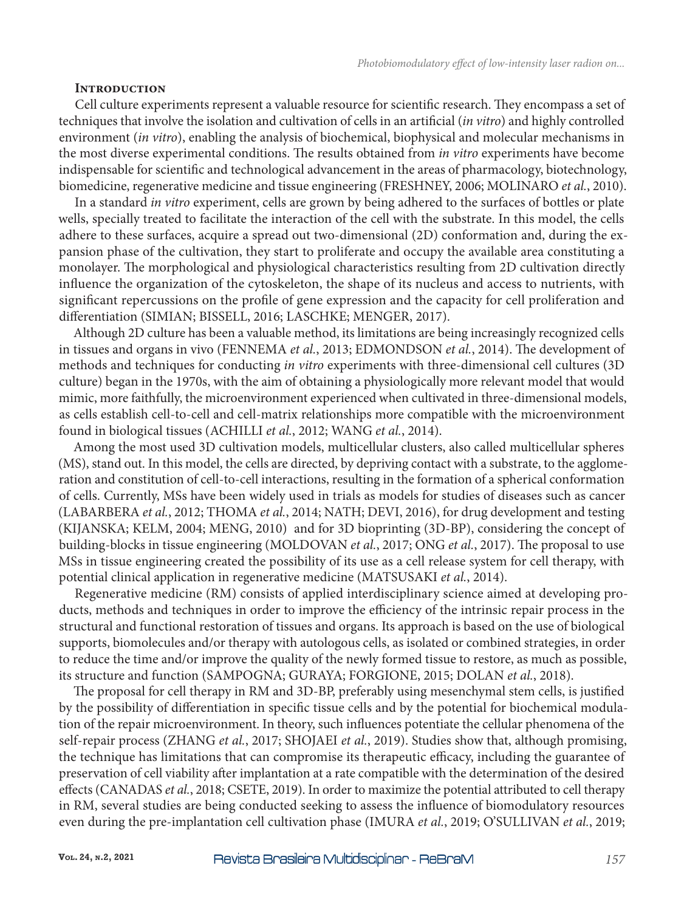## **Introduction**

Cell culture experiments represent a valuable resource for scientific research. They encompass a set of techniques that involve the isolation and cultivation of cells in an artificial (*in vitro*) and highly controlled environment (*in vitro*), enabling the analysis of biochemical, biophysical and molecular mechanisms in the most diverse experimental conditions. The results obtained from *in vitro* experiments have become indispensable for scientific and technological advancement in the areas of pharmacology, biotechnology, biomedicine, regenerative medicine and tissue engineering (FRESHNEY, 2006; MOLINARO *et al.*, 2010).

In a standard *in vitro* experiment, cells are grown by being adhered to the surfaces of bottles or plate wells, specially treated to facilitate the interaction of the cell with the substrate. In this model, the cells adhere to these surfaces, acquire a spread out two-dimensional (2D) conformation and, during the expansion phase of the cultivation, they start to proliferate and occupy the available area constituting a monolayer. The morphological and physiological characteristics resulting from 2D cultivation directly influence the organization of the cytoskeleton, the shape of its nucleus and access to nutrients, with significant repercussions on the profile of gene expression and the capacity for cell proliferation and differentiation (SIMIAN; BISSELL, 2016; LASCHKE; MENGER, 2017).

Although 2D culture has been a valuable method, its limitations are being increasingly recognized cells in tissues and organs in vivo (FENNEMA *et al.*, 2013; EDMONDSON *et al.*, 2014). The development of methods and techniques for conducting *in vitro* experiments with three-dimensional cell cultures (3D culture) began in the 1970s, with the aim of obtaining a physiologically more relevant model that would mimic, more faithfully, the microenvironment experienced when cultivated in three-dimensional models, as cells establish cell-to-cell and cell-matrix relationships more compatible with the microenvironment found in biological tissues (ACHILLI *et al.*, 2012; WANG *et al.*, 2014).

Among the most used 3D cultivation models, multicellular clusters, also called multicellular spheres (MS), stand out. In this model, the cells are directed, by depriving contact with a substrate, to the agglomeration and constitution of cell-to-cell interactions, resulting in the formation of a spherical conformation of cells. Currently, MSs have been widely used in trials as models for studies of diseases such as cancer (LABARBERA *et al.*, 2012; THOMA *et al.*, 2014; NATH; DEVI, 2016), for drug development and testing (KIJANSKA; KELM, 2004; MENG, 2010) and for 3D bioprinting (3D-BP), considering the concept of building-blocks in tissue engineering (MOLDOVAN *et al.*, 2017; ONG *et al.*, 2017). The proposal to use MSs in tissue engineering created the possibility of its use as a cell release system for cell therapy, with potential clinical application in regenerative medicine (MATSUSAKI *et al.*, 2014).

Regenerative medicine (RM) consists of applied interdisciplinary science aimed at developing products, methods and techniques in order to improve the efficiency of the intrinsic repair process in the structural and functional restoration of tissues and organs. Its approach is based on the use of biological supports, biomolecules and/or therapy with autologous cells, as isolated or combined strategies, in order to reduce the time and/or improve the quality of the newly formed tissue to restore, as much as possible, its structure and function (SAMPOGNA; GURAYA; FORGIONE, 2015; DOLAN *et al.*, 2018).

The proposal for cell therapy in RM and 3D-BP, preferably using mesenchymal stem cells, is justified by the possibility of differentiation in specific tissue cells and by the potential for biochemical modulation of the repair microenvironment. In theory, such influences potentiate the cellular phenomena of the self-repair process (ZHANG *et al.*, 2017; SHOJAEI *et al.*, 2019). Studies show that, although promising, the technique has limitations that can compromise its therapeutic efficacy, including the guarantee of preservation of cell viability after implantation at a rate compatible with the determination of the desired effects (CANADAS *et al.*, 2018; CSETE, 2019). In order to maximize the potential attributed to cell therapy in RM, several studies are being conducted seeking to assess the influence of biomodulatory resources even during the pre-implantation cell cultivation phase (IMURA *et al.*, 2019; O'SULLIVAN *et al.*, 2019;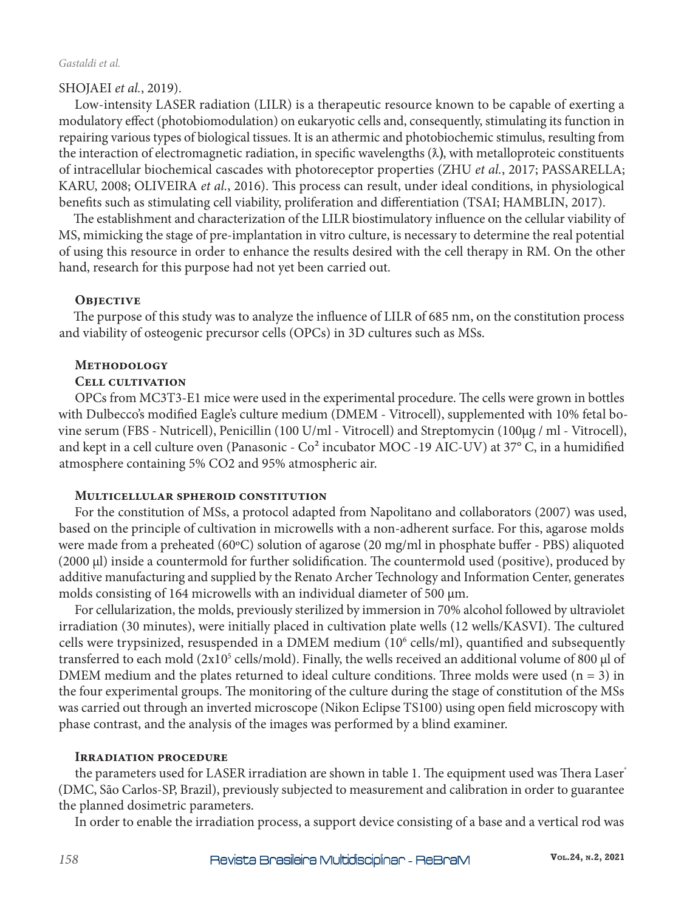#### *Gastaldi et al.*

# SHOJAEI *et al.*, 2019).

Low-intensity LASER radiation (LILR) is a therapeutic resource known to be capable of exerting a modulatory effect (photobiomodulation) on eukaryotic cells and, consequently, stimulating its function in repairing various types of biological tissues. It is an athermic and photobiochemic stimulus, resulting from the interaction of electromagnetic radiation, in specific wavelengths  $(\lambda)$ , with metalloproteic constituents of intracellular biochemical cascades with photoreceptor properties (ZHU *et al.*, 2017; PASSARELLA; KARU, 2008; OLIVEIRA *et al.*, 2016). This process can result, under ideal conditions, in physiological benefits such as stimulating cell viability, proliferation and differentiation (TSAI; HAMBLIN, 2017).

The establishment and characterization of the LILR biostimulatory influence on the cellular viability of MS, mimicking the stage of pre-implantation in vitro culture, is necessary to determine the real potential of using this resource in order to enhance the results desired with the cell therapy in RM. On the other hand, research for this purpose had not yet been carried out.

## **OBJECTIVE**

The purpose of this study was to analyze the influence of LILR of 685 nm, on the constitution process and viability of osteogenic precursor cells (OPCs) in 3D cultures such as MSs.

# **Methodology**

# **Cell cultivation**

OPCs from MC3T3-E1 mice were used in the experimental procedure. The cells were grown in bottles with Dulbecco's modified Eagle's culture medium (DMEM - Vitrocell), supplemented with 10% fetal bovine serum (FBS - Nutricell), Penicillin (100 U/ml - Vitrocell) and Streptomycin (100μg / ml - Vitrocell), and kept in a cell culture oven (Panasonic - Co<sup>2</sup> incubator MOC -19 AIC-UV) at 37° C, in a humidified atmosphere containing 5% CO2 and 95% atmospheric air.

## **Multicellular spheroid constitution**

For the constitution of MSs, a protocol adapted from Napolitano and collaborators (2007) was used, based on the principle of cultivation in microwells with a non-adherent surface. For this, agarose molds were made from a preheated (60ºC) solution of agarose (20 mg/ml in phosphate buffer - PBS) aliquoted (2000 µl) inside a countermold for further solidification. The countermold used (positive), produced by additive manufacturing and supplied by the Renato Archer Technology and Information Center, generates molds consisting of 164 microwells with an individual diameter of 500  $\mu$ m.

For cellularization, the molds, previously sterilized by immersion in 70% alcohol followed by ultraviolet irradiation (30 minutes), were initially placed in cultivation plate wells (12 wells/KASVI). The cultured cells were trypsinized, resuspended in a DMEM medium (10<sup>6</sup> cells/ml), quantified and subsequently transferred to each mold (2x10<sup>5</sup> cells/mold). Finally, the wells received an additional volume of 800 µl of DMEM medium and the plates returned to ideal culture conditions. Three molds were used  $(n = 3)$  in the four experimental groups. The monitoring of the culture during the stage of constitution of the MSs was carried out through an inverted microscope (Nikon Eclipse TS100) using open field microscopy with phase contrast, and the analysis of the images was performed by a blind examiner.

## **Irradiation procedure**

the parameters used for LASER irradiation are shown in table 1. The equipment used was Thera Laser® (DMC, São Carlos-SP, Brazil), previously subjected to measurement and calibration in order to guarantee the planned dosimetric parameters.

In order to enable the irradiation process, a support device consisting of a base and a vertical rod was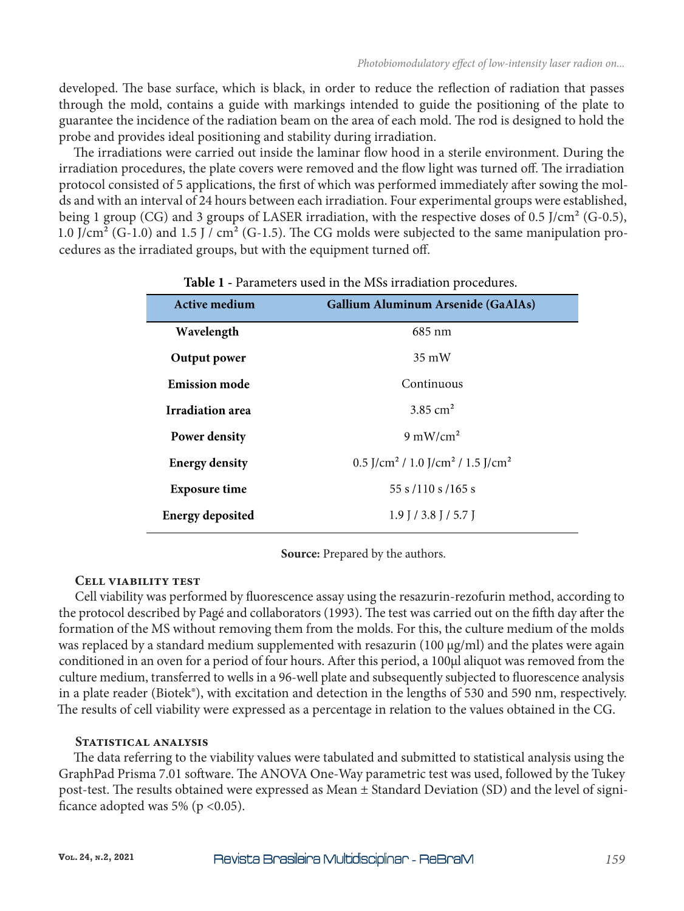developed. The base surface, which is black, in order to reduce the reflection of radiation that passes through the mold, contains a guide with markings intended to guide the positioning of the plate to guarantee the incidence of the radiation beam on the area of each mold. The rod is designed to hold the probe and provides ideal positioning and stability during irradiation.

The irradiations were carried out inside the laminar flow hood in a sterile environment. During the irradiation procedures, the plate covers were removed and the flow light was turned off. The irradiation protocol consisted of 5 applications, the first of which was performed immediately after sowing the molds and with an interval of 24 hours between each irradiation. Four experimental groups were established, being 1 group (CG) and 3 groups of LASER irradiation, with the respective doses of 0.5 J/cm<sup>2</sup> (G-0.5), 1.0 J/cm² (G-1.0) and 1.5 J / cm² (G-1.5). The CG molds were subjected to the same manipulation procedures as the irradiated groups, but with the equipment turned off.

| <b>Active medium</b>    | Gallium Aluminum Arsenide (GaAlAs)                                                      |
|-------------------------|-----------------------------------------------------------------------------------------|
| Wavelength              | 685 nm                                                                                  |
| Output power            | $35 \text{ mW}$                                                                         |
| <b>Emission mode</b>    | Continuous                                                                              |
| Irradiation area        | 3.85 $cm2$                                                                              |
| <b>Power density</b>    | $9 \text{ mW/cm}^2$                                                                     |
| <b>Energy density</b>   | 0.5 $\frac{7}{\text{cm}^2}$ / 1.0 $\frac{7}{\text{cm}^2}$ / 1.5 $\frac{7}{\text{cm}^2}$ |
| <b>Exposure time</b>    | 55 s / 110 s / 165 s                                                                    |
| <b>Energy deposited</b> | $1.9$ J / 3.8 J / 5.7 J                                                                 |

# **Table 1 -** Parameters used in the MSs irradiation procedures.

**Source:** Prepared by the authors.

## **Cell viability test**

Cell viability was performed by fluorescence assay using the resazurin-rezofurin method, according to the protocol described by Pagé and collaborators (1993). The test was carried out on the fifth day after the formation of the MS without removing them from the molds. For this, the culture medium of the molds was replaced by a standard medium supplemented with resazurin (100 µg/ml) and the plates were again conditioned in an oven for a period of four hours. After this period, a 100µl aliquot was removed from the culture medium, transferred to wells in a 96-well plate and subsequently subjected to fluorescence analysis in a plate reader (Biotek®), with excitation and detection in the lengths of 530 and 590 nm, respectively. The results of cell viability were expressed as a percentage in relation to the values obtained in the CG.

# **Statistical analysis**

The data referring to the viability values were tabulated and submitted to statistical analysis using the GraphPad Prisma 7.01 software. The ANOVA One-Way parametric test was used, followed by the Tukey post-test. The results obtained were expressed as Mean ± Standard Deviation (SD) and the level of significance adopted was 5% ( $p < 0.05$ ).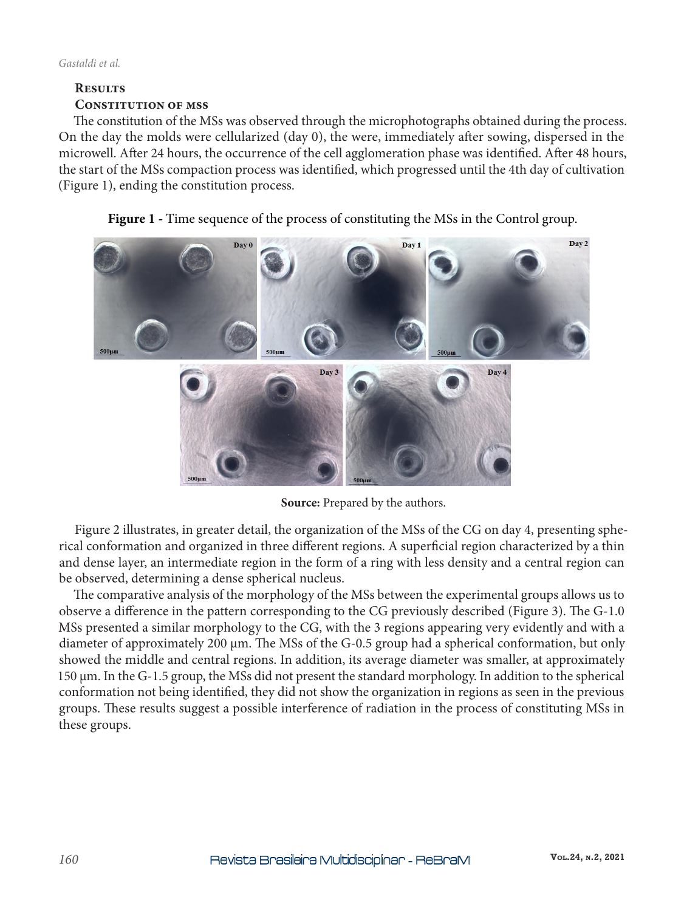# **Results Constitution of mss**

The constitution of the MSs was observed through the microphotographs obtained during the process. On the day the molds were cellularized (day 0), the were, immediately after sowing, dispersed in the microwell. After 24 hours, the occurrence of the cell agglomeration phase was identified. After 48 hours, the start of the MSs compaction process was identified, which progressed until the 4th day of cultivation (Figure 1), ending the constitution process.



Figure 1 - Time sequence of the process of constituting the MSs in the Control group.

Source: Prepared by the authors.

Figure 2 illustrates, in greater detail, the organization of the MSs of the CG on day 4, presenting spherical conformation and organized in three different regions. A superficial region characterized by a thin and dense layer, an intermediate region in the form of a ring with less density and a central region can be observed, determining a dense spherical nucleus.

The comparative analysis of the morphology of the MSs between the experimental groups allows us to observe a difference in the pattern corresponding to the CG previously described (Figure 3). The G-1.0 MSs presented a similar morphology to the CG, with the 3 regions appearing very evidently and with a diameter of approximately 200 µm. The MSs of the G-0.5 group had a spherical conformation, but only showed the middle and central regions. In addition, its average diameter was smaller, at approximately 150 µm. In the G-1.5 group, the MSs did not present the standard morphology. In addition to the spherical conformation not being identified, they did not show the organization in regions as seen in the previous groups. These results suggest a possible interference of radiation in the process of constituting MSs in these groups.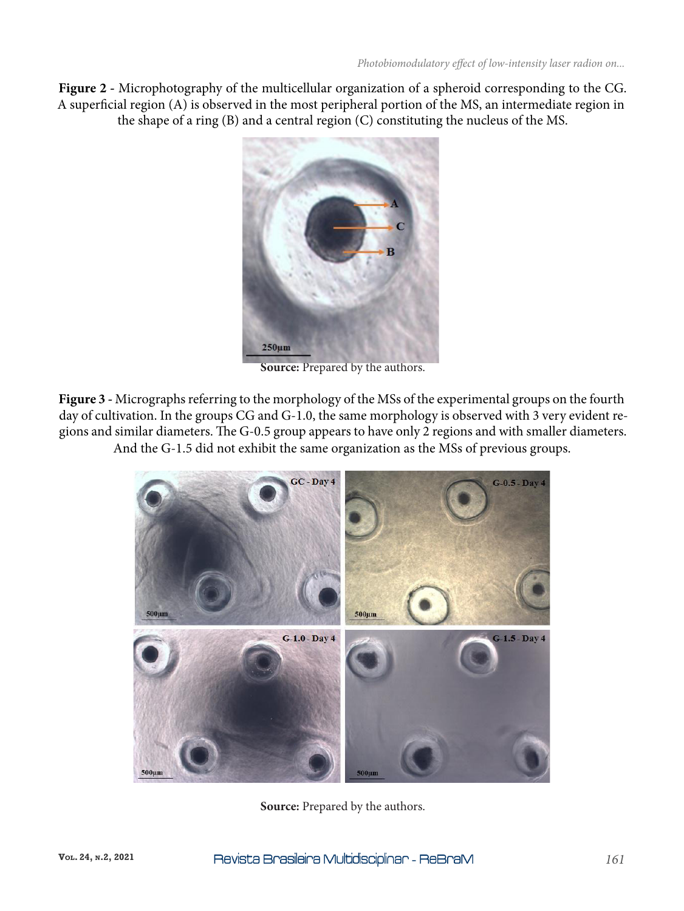**Figure 2 -** Microphotography of the multicellular organization of a spheroid corresponding to the CG. A superficial region (A) is observed in the most peripheral portion of the MS, an intermediate region in the shape of a ring (B) and a central region (C) constituting the nucleus of the MS.



**Source:** Prepared by the authors.

**Figure 3 -** Micrographs referring to the morphology of the MSs of the experimental groups on the fourth day of cultivation. In the groups CG and G-1.0, the same morphology is observed with 3 very evident regions and similar diameters. The G-0.5 group appears to have only 2 regions and with smaller diameters. And the G-1.5 did not exhibit the same organization as the MSs of previous groups.



**Source:** Prepared by the authors.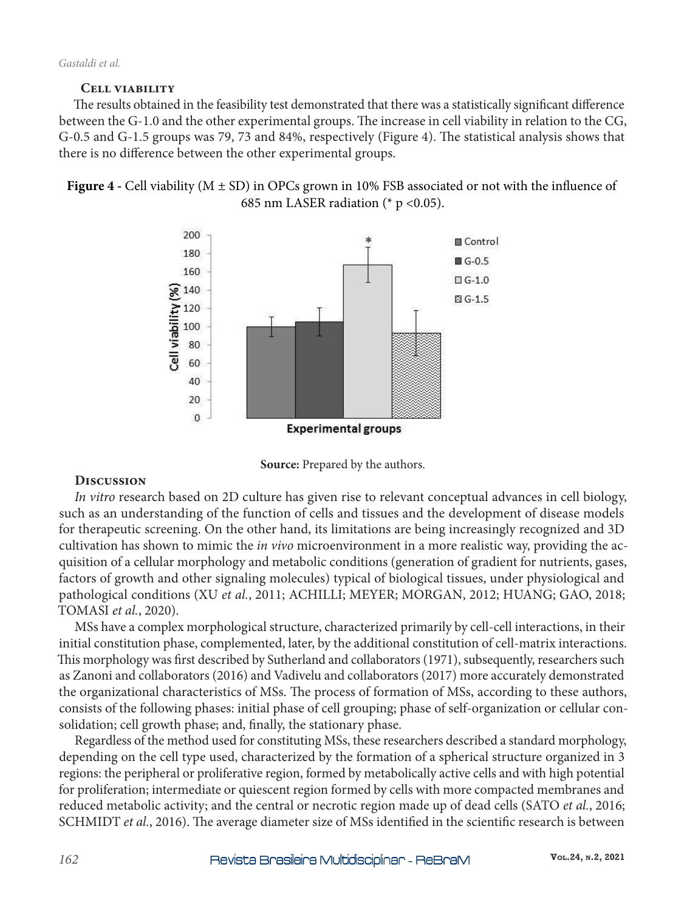# **Cell viability**

The results obtained in the feasibility test demonstrated that there was a statistically significant difference between the G-1.0 and the other experimental groups. The increase in cell viability in relation to the CG, G-0.5 and G-1.5 groups was 79, 73 and 84%, respectively (Figure 4). The statistical analysis shows that there is no difference between the other experimental groups.







## **Discussion**

*In vitro* research based on 2D culture has given rise to relevant conceptual advances in cell biology, such as an understanding of the function of cells and tissues and the development of disease models for therapeutic screening. On the other hand, its limitations are being increasingly recognized and 3D cultivation has shown to mimic the *in vivo* microenvironment in a more realistic way, providing the acquisition of a cellular morphology and metabolic conditions (generation of gradient for nutrients, gases, factors of growth and other signaling molecules) typical of biological tissues, under physiological and pathological conditions (XU *et al.*, 2011; ACHILLI; MEYER; MORGAN, 2012; HUANG; GAO, 2018; TOMASI *et al.*, 2020).

MSs have a complex morphological structure, characterized primarily by cell-cell interactions, in their initial constitution phase, complemented, later, by the additional constitution of cell-matrix interactions. This morphology was first described by Sutherland and collaborators (1971), subsequently, researchers such as Zanoni and collaborators (2016) and Vadivelu and collaborators (2017) more accurately demonstrated the organizational characteristics of MSs. The process of formation of MSs, according to these authors, consists of the following phases: initial phase of cell grouping; phase of self-organization or cellular consolidation; cell growth phase; and, finally, the stationary phase.

Regardless of the method used for constituting MSs, these researchers described a standard morphology, depending on the cell type used, characterized by the formation of a spherical structure organized in 3 regions: the peripheral or proliferative region, formed by metabolically active cells and with high potential for proliferation; intermediate or quiescent region formed by cells with more compacted membranes and reduced metabolic activity; and the central or necrotic region made up of dead cells (SATO *et al.*, 2016; SCHMIDT *et al.*, 2016). The average diameter size of MSs identified in the scientific research is between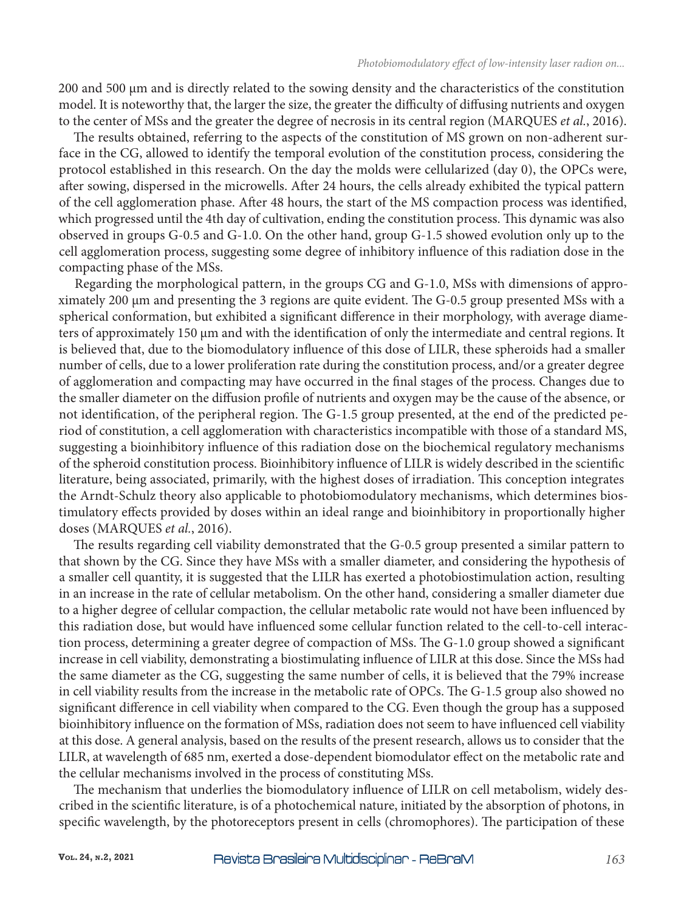200 and 500 µm and is directly related to the sowing density and the characteristics of the constitution model. It is noteworthy that, the larger the size, the greater the difficulty of diffusing nutrients and oxygen to the center of MSs and the greater the degree of necrosis in its central region (MARQUES *et al.*, 2016).

The results obtained, referring to the aspects of the constitution of MS grown on non-adherent surface in the CG, allowed to identify the temporal evolution of the constitution process, considering the protocol established in this research. On the day the molds were cellularized (day 0), the OPCs were, after sowing, dispersed in the microwells. After 24 hours, the cells already exhibited the typical pattern of the cell agglomeration phase. After 48 hours, the start of the MS compaction process was identified, which progressed until the 4th day of cultivation, ending the constitution process. This dynamic was also observed in groups G-0.5 and G-1.0. On the other hand, group G-1.5 showed evolution only up to the cell agglomeration process, suggesting some degree of inhibitory influence of this radiation dose in the compacting phase of the MSs.

Regarding the morphological pattern, in the groups CG and G-1.0, MSs with dimensions of approximately 200 µm and presenting the 3 regions are quite evident. The G-0.5 group presented MSs with a spherical conformation, but exhibited a significant difference in their morphology, with average diameters of approximately 150 µm and with the identification of only the intermediate and central regions. It is believed that, due to the biomodulatory influence of this dose of LILR, these spheroids had a smaller number of cells, due to a lower proliferation rate during the constitution process, and/or a greater degree of agglomeration and compacting may have occurred in the final stages of the process. Changes due to the smaller diameter on the diffusion profile of nutrients and oxygen may be the cause of the absence, or not identification, of the peripheral region. The G-1.5 group presented, at the end of the predicted period of constitution, a cell agglomeration with characteristics incompatible with those of a standard MS, suggesting a bioinhibitory influence of this radiation dose on the biochemical regulatory mechanisms of the spheroid constitution process. Bioinhibitory influence of LILR is widely described in the scientific literature, being associated, primarily, with the highest doses of irradiation. This conception integrates the Arndt-Schulz theory also applicable to photobiomodulatory mechanisms, which determines biostimulatory effects provided by doses within an ideal range and bioinhibitory in proportionally higher doses (MARQUES *et al.*, 2016).

The results regarding cell viability demonstrated that the G-0.5 group presented a similar pattern to that shown by the CG. Since they have MSs with a smaller diameter, and considering the hypothesis of a smaller cell quantity, it is suggested that the LILR has exerted a photobiostimulation action, resulting in an increase in the rate of cellular metabolism. On the other hand, considering a smaller diameter due to a higher degree of cellular compaction, the cellular metabolic rate would not have been influenced by this radiation dose, but would have influenced some cellular function related to the cell-to-cell interaction process, determining a greater degree of compaction of MSs. The G-1.0 group showed a significant increase in cell viability, demonstrating a biostimulating influence of LILR at this dose. Since the MSs had the same diameter as the CG, suggesting the same number of cells, it is believed that the 79% increase in cell viability results from the increase in the metabolic rate of OPCs. The G-1.5 group also showed no significant difference in cell viability when compared to the CG. Even though the group has a supposed bioinhibitory influence on the formation of MSs, radiation does not seem to have influenced cell viability at this dose. A general analysis, based on the results of the present research, allows us to consider that the LILR, at wavelength of 685 nm, exerted a dose-dependent biomodulator effect on the metabolic rate and the cellular mechanisms involved in the process of constituting MSs.

The mechanism that underlies the biomodulatory influence of LILR on cell metabolism, widely described in the scientific literature, is of a photochemical nature, initiated by the absorption of photons, in specific wavelength, by the photoreceptors present in cells (chromophores). The participation of these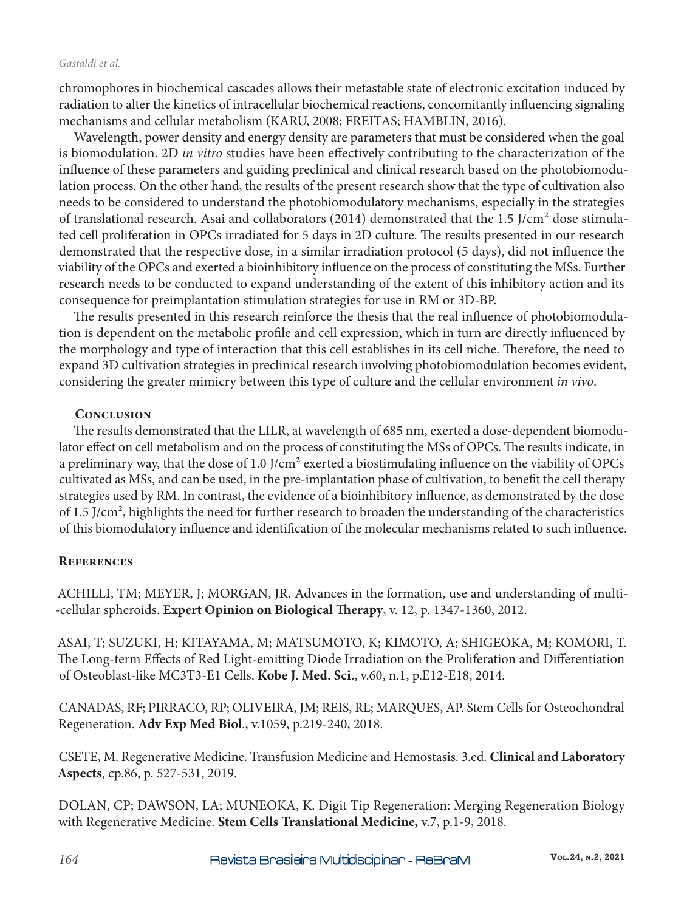#### *Gastaldi et al.*

chromophores in biochemical cascades allows their metastable state of electronic excitation induced by radiation to alter the kinetics of intracellular biochemical reactions, concomitantly influencing signaling mechanisms and cellular metabolism (KARU, 2008; FREITAS; HAMBLIN, 2016).

Wavelength, power density and energy density are parameters that must be considered when the goal is biomodulation. 2D *in vitro* studies have been effectively contributing to the characterization of the influence of these parameters and guiding preclinical and clinical research based on the photobiomodulation process. On the other hand, the results of the present research show that the type of cultivation also needs to be considered to understand the photobiomodulatory mechanisms, especially in the strategies of translational research. Asai and collaborators (2014) demonstrated that the 1.5 J/cm<sup>2</sup> dose stimulated cell proliferation in OPCs irradiated for 5 days in 2D culture. The results presented in our research demonstrated that the respective dose, in a similar irradiation protocol (5 days), did not influence the viability of the OPCs and exerted a bioinhibitory influence on the process of constituting the MSs. Further research needs to be conducted to expand understanding of the extent of this inhibitory action and its consequence for preimplantation stimulation strategies for use in RM or 3D-BP.

The results presented in this research reinforce the thesis that the real influence of photobiomodulation is dependent on the metabolic profile and cell expression, which in turn are directly influenced by the morphology and type of interaction that this cell establishes in its cell niche. Therefore, the need to expand 3D cultivation strategies in preclinical research involving photobiomodulation becomes evident, considering the greater mimicry between this type of culture and the cellular environment *in vivo*.

# **Conclusion**

The results demonstrated that the LILR, at wavelength of 685 nm, exerted a dose-dependent biomodulator effect on cell metabolism and on the process of constituting the MSs of OPCs. The results indicate, in a preliminary way, that the dose of 1.0 J/cm<sup>2</sup> exerted a biostimulating influence on the viability of OPCs cultivated as MSs, and can be used, in the pre-implantation phase of cultivation, to benefit the cell therapy strategies used by RM. In contrast, the evidence of a bioinhibitory influence, as demonstrated by the dose of 1.5 J/cm², highlights the need for further research to broaden the understanding of the characteristics of this biomodulatory influence and identification of the molecular mechanisms related to such influence.

# **References**

ACHILLI, TM; MEYER, J; MORGAN, JR. Advances in the formation, use and understanding of multi- -cellular spheroids. **Expert Opinion on Biological Therapy**, v. 12, p. 1347-1360, 2012.

ASAI, T; SUZUKI, H; KITAYAMA, M; MATSUMOTO, K; KIMOTO, A; SHIGEOKA, M; KOMORI, T. The Long-term Effects of Red Light-emitting Diode Irradiation on the Proliferation and Differentiation of Osteoblast-like MC3T3-E1 Cells. **Kobe J. Med. Sci.**, v.60, n.1, p.E12-E18, 2014.

CANADAS, RF; PIRRACO, RP; OLIVEIRA, JM; REIS, RL; MARQUES, AP. Stem Cells for Osteochondral Regeneration. **Adv Exp Med Biol**., v.1059, p.219-240, 2018.

CSETE, M. Regenerative Medicine. Transfusion Medicine and Hemostasis. 3.ed. **Clinical and Laboratory Aspects**, cp.86, p. 527-531, 2019.

DOLAN, CP; DAWSON, LA; MUNEOKA, K. Digit Tip Regeneration: Merging Regeneration Biology with Regenerative Medicine. **Stem Cells Translational Medicine,** v.7, p.1-9, 2018.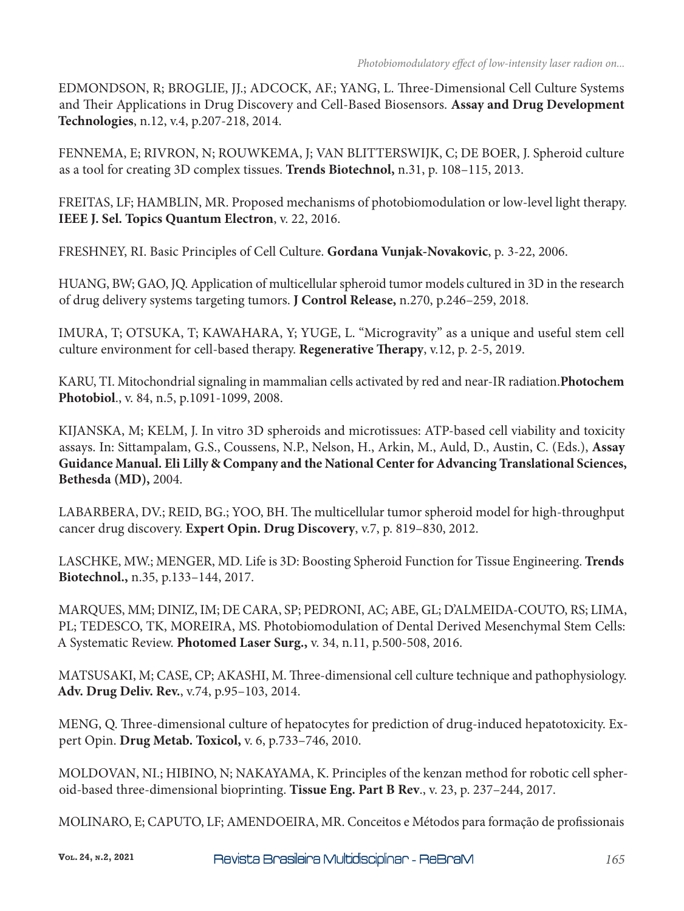EDMONDSON, R; BROGLIE, JJ.; ADCOCK, AF.; YANG, L. Three-Dimensional Cell Culture Systems and Their Applications in Drug Discovery and Cell-Based Biosensors. **Assay and Drug Development Technologies**, n.12, v.4, p.207-218, 2014.

FENNEMA, E; RIVRON, N; ROUWKEMA, J; VAN BLITTERSWIJK, C; DE BOER, J. Spheroid culture as a tool for creating 3D complex tissues. **Trends Biotechnol,** n.31, p. 108–115, 2013.

FREITAS, LF; HAMBLIN, MR. Proposed mechanisms of photobiomodulation or low-level light therapy. **IEEE J. Sel. Topics Quantum Electron**, v. 22, 2016.

FRESHNEY, RI. Basic Principles of Cell Culture. **Gordana Vunjak-Novakovic**, p. 3-22, 2006.

HUANG, BW; GAO, JQ. Application of multicellular spheroid tumor models cultured in 3D in the research of drug delivery systems targeting tumors. **J Control Release,** n.270, p.246–259, 2018.

IMURA, T; OTSUKA, T; KAWAHARA, Y; YUGE, L. "Microgravity" as a unique and useful stem cell culture environment for cell-based therapy. **Regenerative Therapy**, v.12, p. 2-5, 2019.

KARU, TI. Mitochondrial signaling in mammalian cells activated by red and near-IR radiation.**Photochem Photobiol**., v. 84, n.5, p.1091-1099, 2008.

KIJANSKA, M; KELM, J. In vitro 3D spheroids and microtissues: ATP-based cell viability and toxicity assays. In: Sittampalam, G.S., Coussens, N.P., Nelson, H., Arkin, M., Auld, D., Austin, C. (Eds.), **Assay Guidance Manual. Eli Lilly & Company and the National Center for Advancing Translational Sciences, Bethesda (MD),** 2004.

LABARBERA, DV.; REID, BG.; YOO, BH. The multicellular tumor spheroid model for high-throughput cancer drug discovery. **Expert Opin. Drug Discovery**, v.7, p. 819–830, 2012.

LASCHKE, MW.; MENGER, MD. Life is 3D: Boosting Spheroid Function for Tissue Engineering. **Trends Biotechnol.,** n.35, p.133–144, 2017.

MARQUES, MM; DINIZ, IM; DE CARA, SP; PEDRONI, AC; ABE, GL; D'ALMEIDA-COUTO, RS; LIMA, PL; TEDESCO, TK, MOREIRA, MS. Photobiomodulation of Dental Derived Mesenchymal Stem Cells: A Systematic Review. **Photomed Laser Surg.,** v. 34, n.11, p.500-508, 2016.

MATSUSAKI, M; CASE, CP; AKASHI, M. Three-dimensional cell culture technique and pathophysiology. **Adv. Drug Deliv. Rev.**, v.74, p.95–103, 2014.

MENG, Q. Three-dimensional culture of hepatocytes for prediction of drug-induced hepatotoxicity. Expert Opin. **Drug Metab. Toxicol,** v. 6, p.733–746, 2010.

MOLDOVAN, NI.; HIBINO, N; NAKAYAMA, K. Principles of the kenzan method for robotic cell spheroid-based three-dimensional bioprinting. **Tissue Eng. Part B Rev**., v. 23, p. 237–244, 2017.

MOLINARO, E; CAPUTO, LF; AMENDOEIRA, MR. Conceitos e Métodos para formação de profissionais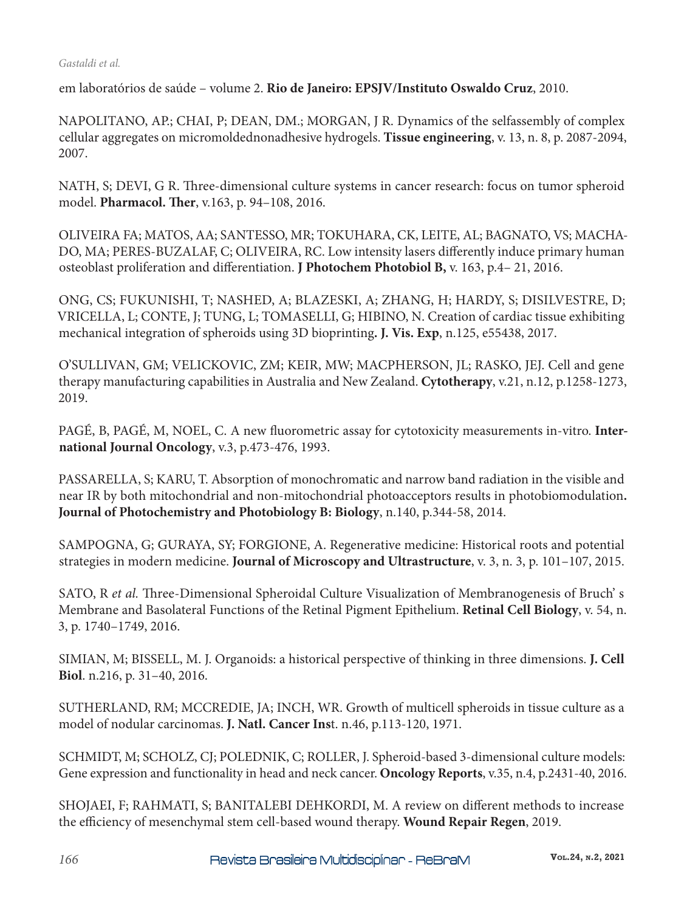#### *Gastaldi et al.*

em laboratórios de saúde – volume 2. **Rio de Janeiro: EPSJV/Instituto Oswaldo Cruz**, 2010.

NAPOLITANO, AP.; CHAI, P; DEAN, DM.; MORGAN, J R. Dynamics of the selfassembly of complex cellular aggregates on micromoldednonadhesive hydrogels. **Tissue engineering**, v. 13, n. 8, p. 2087-2094, 2007.

NATH, S; DEVI, G R. Three-dimensional culture systems in cancer research: focus on tumor spheroid model. **Pharmacol. Ther**, v.163, p. 94–108, 2016.

OLIVEIRA FA; MATOS, AA; SANTESSO, MR; TOKUHARA, CK, LEITE, AL; BAGNATO, VS; MACHA-DO, MA; PERES-BUZALAF, C; OLIVEIRA, RC. Low intensity lasers differently induce primary human osteoblast proliferation and differentiation. **J Photochem Photobiol B,** v. 163, p.4– 21, 2016.

ONG, CS; FUKUNISHI, T; NASHED, A; BLAZESKI, A; ZHANG, H; HARDY, S; DISILVESTRE, D; VRICELLA, L; CONTE, J; TUNG, L; TOMASELLI, G; HIBINO, N. Creation of cardiac tissue exhibiting mechanical integration of spheroids using 3D bioprinting**. J. Vis. Exp**, n.125, e55438, 2017.

O'SULLIVAN, GM; VELICKOVIC, ZM; KEIR, MW; MACPHERSON, JL; RASKO, JEJ. Cell and gene therapy manufacturing capabilities in Australia and New Zealand. **Cytotherapy**, v.21, n.12, p.1258-1273, 2019.

PAGÉ, B, PAGÉ, M, NOEL, C. A new fluorometric assay for cytotoxicity measurements in-vitro. **International Journal Oncology**, v.3, p.473-476, 1993.

PASSARELLA, S; KARU, T. Absorption of monochromatic and narrow band radiation in the visible and near IR by both mitochondrial and non-mitochondrial photoacceptors results in photobiomodulation**. Journal of Photochemistry and Photobiology B: Biology**, n.140, p.344-58, 2014.

SAMPOGNA, G; GURAYA, SY; FORGIONE, A. Regenerative medicine: Historical roots and potential strategies in modern medicine. **Journal of Microscopy and Ultrastructure**, v. 3, n. 3, p. 101–107, 2015.

SATO, R *et al.* Three-Dimensional Spheroidal Culture Visualization of Membranogenesis of Bruch' s Membrane and Basolateral Functions of the Retinal Pigment Epithelium. **Retinal Cell Biology**, v. 54, n. 3, p. 1740–1749, 2016.

SIMIAN, M; BISSELL, M. J. Organoids: a historical perspective of thinking in three dimensions. **J. Cell Biol**. n.216, p. 31–40, 2016.

SUTHERLAND, RM; MCCREDIE, JA; INCH, WR. Growth of multicell spheroids in tissue culture as a model of nodular carcinomas. **J. Natl. Cancer Ins**t. n.46, p.113-120, 1971.

SCHMIDT, M; SCHOLZ, CJ; POLEDNIK, C; ROLLER, J. Spheroid-based 3-dimensional culture models: Gene expression and functionality in head and neck cancer. **Oncology Reports**, v.35, n.4, p.2431-40, 2016.

SHOJAEI, F; RAHMATI, S; BANITALEBI DEHKORDI, M. A review on different methods to increase the efficiency of mesenchymal stem cell-based wound therapy. **Wound Repair Regen**, 2019.